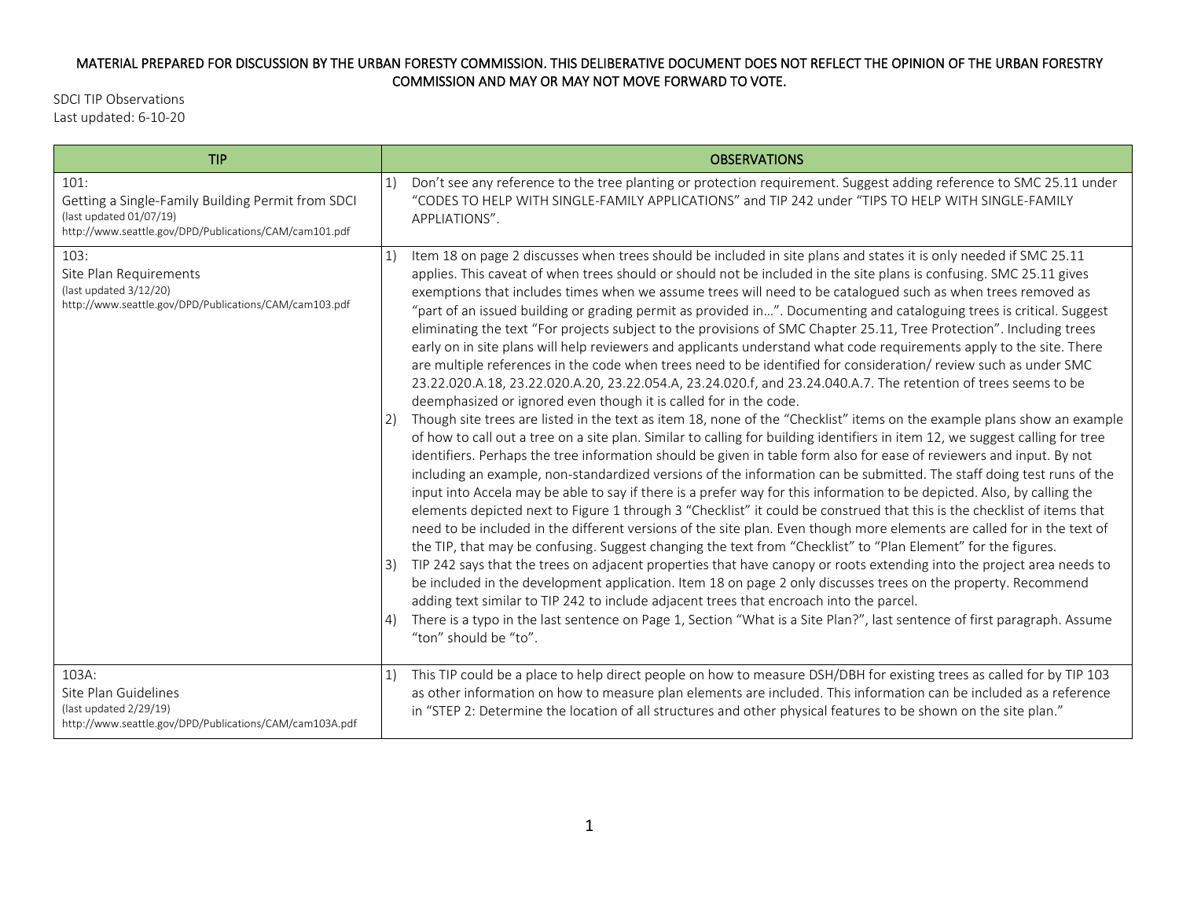## MATERIAL PREPARED FOR DISCUSSION BY THE URBAN FORESTY COMMISSION. THIS DELIBERATIVE DOCUMENT DOES NOT REFLECT THE OPINION OF THE URBAN FORESTRY COMMISSION AND MAY OR MAY NOT MOVE FORWARD TO VOTE.

SDCI TIP Observations Last updated: 6-10-20

| <b>TIP</b>                                                                                                         | <b>OBSERVATIONS</b>                                                                                                                                                                                                                                                                                                                                                                                                                                                                                                                                                                                                                                                                                                                                                                                                                                                                                                                                                                                                                                                                                                                                                                                                                                                                                                                                                                                                                                                                                                                                                                                                                                                                                                                                                                                                                                                                                                                                                                                                                                                                                                                                                                                                                                                                                                                                                                                                                                                                                                                                                     |
|--------------------------------------------------------------------------------------------------------------------|-------------------------------------------------------------------------------------------------------------------------------------------------------------------------------------------------------------------------------------------------------------------------------------------------------------------------------------------------------------------------------------------------------------------------------------------------------------------------------------------------------------------------------------------------------------------------------------------------------------------------------------------------------------------------------------------------------------------------------------------------------------------------------------------------------------------------------------------------------------------------------------------------------------------------------------------------------------------------------------------------------------------------------------------------------------------------------------------------------------------------------------------------------------------------------------------------------------------------------------------------------------------------------------------------------------------------------------------------------------------------------------------------------------------------------------------------------------------------------------------------------------------------------------------------------------------------------------------------------------------------------------------------------------------------------------------------------------------------------------------------------------------------------------------------------------------------------------------------------------------------------------------------------------------------------------------------------------------------------------------------------------------------------------------------------------------------------------------------------------------------------------------------------------------------------------------------------------------------------------------------------------------------------------------------------------------------------------------------------------------------------------------------------------------------------------------------------------------------------------------------------------------------------------------------------------------------|
| 101:                                                                                                               | Don't see any reference to the tree planting or protection requirement. Suggest adding reference to SMC 25.11 under                                                                                                                                                                                                                                                                                                                                                                                                                                                                                                                                                                                                                                                                                                                                                                                                                                                                                                                                                                                                                                                                                                                                                                                                                                                                                                                                                                                                                                                                                                                                                                                                                                                                                                                                                                                                                                                                                                                                                                                                                                                                                                                                                                                                                                                                                                                                                                                                                                                     |
| Getting a Single-Family Building Permit from SDCI                                                                  | 1)                                                                                                                                                                                                                                                                                                                                                                                                                                                                                                                                                                                                                                                                                                                                                                                                                                                                                                                                                                                                                                                                                                                                                                                                                                                                                                                                                                                                                                                                                                                                                                                                                                                                                                                                                                                                                                                                                                                                                                                                                                                                                                                                                                                                                                                                                                                                                                                                                                                                                                                                                                      |
| (last updated 01/07/19)                                                                                            | "CODES TO HELP WITH SINGLE-FAMILY APPLICATIONS" and TIP 242 under "TIPS TO HELP WITH SINGLE-FAMILY                                                                                                                                                                                                                                                                                                                                                                                                                                                                                                                                                                                                                                                                                                                                                                                                                                                                                                                                                                                                                                                                                                                                                                                                                                                                                                                                                                                                                                                                                                                                                                                                                                                                                                                                                                                                                                                                                                                                                                                                                                                                                                                                                                                                                                                                                                                                                                                                                                                                      |
| http://www.seattle.gov/DPD/Publications/CAM/cam101.pdf                                                             | APPLIATIONS".                                                                                                                                                                                                                                                                                                                                                                                                                                                                                                                                                                                                                                                                                                                                                                                                                                                                                                                                                                                                                                                                                                                                                                                                                                                                                                                                                                                                                                                                                                                                                                                                                                                                                                                                                                                                                                                                                                                                                                                                                                                                                                                                                                                                                                                                                                                                                                                                                                                                                                                                                           |
| 103:<br>Site Plan Requirements<br>(last updated 3/12/20)<br>http://www.seattle.gov/DPD/Publications/CAM/cam103.pdf | Item 18 on page 2 discusses when trees should be included in site plans and states it is only needed if SMC 25.11<br>applies. This caveat of when trees should or should not be included in the site plans is confusing. SMC 25.11 gives<br>exemptions that includes times when we assume trees will need to be catalogued such as when trees removed as<br>"part of an issued building or grading permit as provided in". Documenting and cataloguing trees is critical. Suggest<br>eliminating the text "For projects subject to the provisions of SMC Chapter 25.11, Tree Protection". Including trees<br>early on in site plans will help reviewers and applicants understand what code requirements apply to the site. There<br>are multiple references in the code when trees need to be identified for consideration/review such as under SMC<br>23.22.020.A.18, 23.22.020.A.20, 23.22.054.A, 23.24.020.f, and 23.24.040.A.7. The retention of trees seems to be<br>deemphasized or ignored even though it is called for in the code.<br>Though site trees are listed in the text as item 18, none of the "Checklist" items on the example plans show an example<br>2)<br>of how to call out a tree on a site plan. Similar to calling for building identifiers in item 12, we suggest calling for tree<br>identifiers. Perhaps the tree information should be given in table form also for ease of reviewers and input. By not<br>including an example, non-standardized versions of the information can be submitted. The staff doing test runs of the<br>input into Accela may be able to say if there is a prefer way for this information to be depicted. Also, by calling the<br>elements depicted next to Figure 1 through 3 "Checklist" it could be construed that this is the checklist of items that<br>need to be included in the different versions of the site plan. Even though more elements are called for in the text of<br>the TIP, that may be confusing. Suggest changing the text from "Checklist" to "Plan Element" for the figures.<br>TIP 242 says that the trees on adjacent properties that have canopy or roots extending into the project area needs to<br>3)<br>be included in the development application. Item 18 on page 2 only discusses trees on the property. Recommend<br>adding text similar to TIP 242 to include adjacent trees that encroach into the parcel.<br>There is a typo in the last sentence on Page 1, Section "What is a Site Plan?", last sentence of first paragraph. Assume<br>4)<br>"ton" should be "to". |
| $103A$ :                                                                                                           | This TIP could be a place to help direct people on how to measure DSH/DBH for existing trees as called for by TIP 103                                                                                                                                                                                                                                                                                                                                                                                                                                                                                                                                                                                                                                                                                                                                                                                                                                                                                                                                                                                                                                                                                                                                                                                                                                                                                                                                                                                                                                                                                                                                                                                                                                                                                                                                                                                                                                                                                                                                                                                                                                                                                                                                                                                                                                                                                                                                                                                                                                                   |
| Site Plan Guidelines                                                                                               | 1)                                                                                                                                                                                                                                                                                                                                                                                                                                                                                                                                                                                                                                                                                                                                                                                                                                                                                                                                                                                                                                                                                                                                                                                                                                                                                                                                                                                                                                                                                                                                                                                                                                                                                                                                                                                                                                                                                                                                                                                                                                                                                                                                                                                                                                                                                                                                                                                                                                                                                                                                                                      |
| (last updated 2/29/19)                                                                                             | as other information on how to measure plan elements are included. This information can be included as a reference                                                                                                                                                                                                                                                                                                                                                                                                                                                                                                                                                                                                                                                                                                                                                                                                                                                                                                                                                                                                                                                                                                                                                                                                                                                                                                                                                                                                                                                                                                                                                                                                                                                                                                                                                                                                                                                                                                                                                                                                                                                                                                                                                                                                                                                                                                                                                                                                                                                      |
| http://www.seattle.gov/DPD/Publications/CAM/cam103A.pdf                                                            | in "STEP 2: Determine the location of all structures and other physical features to be shown on the site plan."                                                                                                                                                                                                                                                                                                                                                                                                                                                                                                                                                                                                                                                                                                                                                                                                                                                                                                                                                                                                                                                                                                                                                                                                                                                                                                                                                                                                                                                                                                                                                                                                                                                                                                                                                                                                                                                                                                                                                                                                                                                                                                                                                                                                                                                                                                                                                                                                                                                         |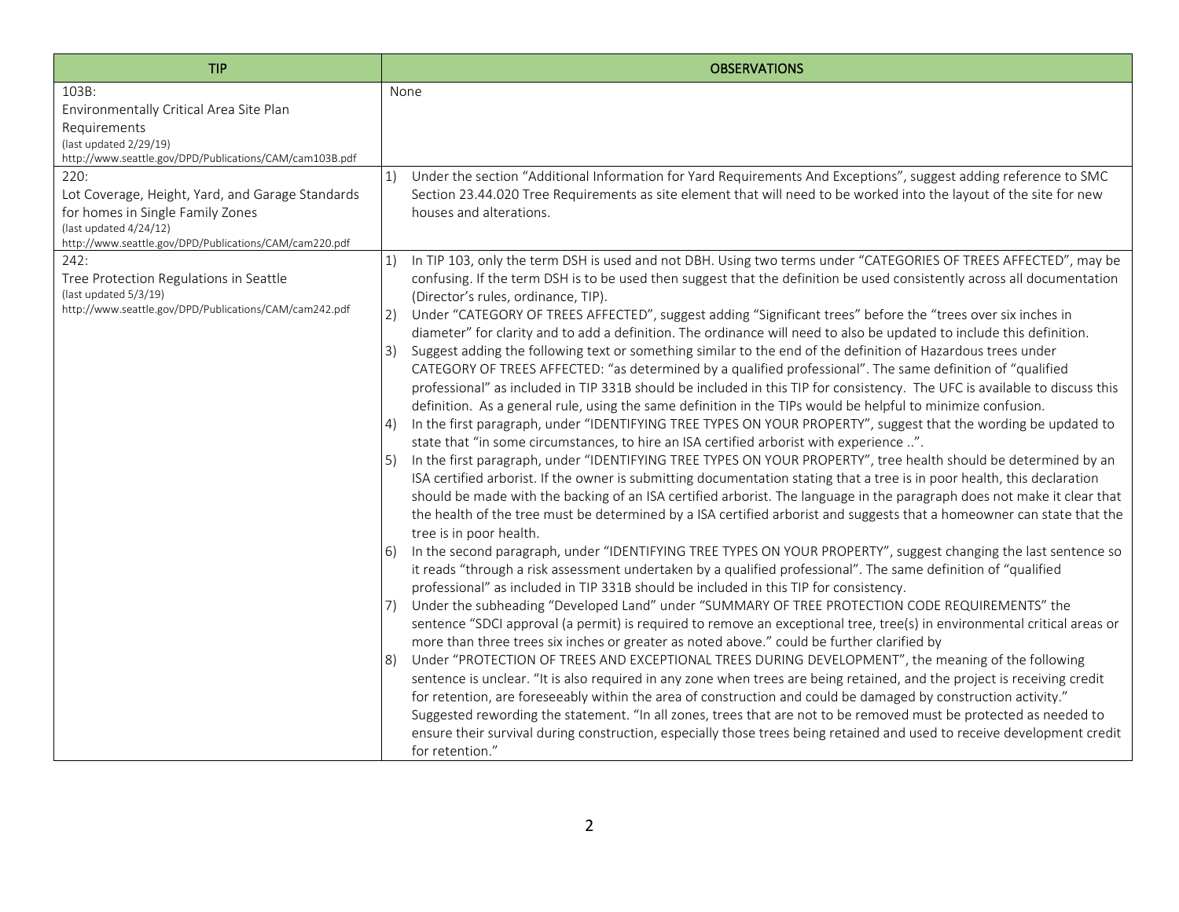| <b>TIP</b>                                                                                                                                                                       | <b>OBSERVATIONS</b>                                                                                                                                                                                                                                                                                                                                                                                                                                                                                                                                                                                                                                                                                                                                                                                                                                                                                                                                                                                                                                                                                                                                                                                                                                                                                                                                                                                                                                                                                                                                                                                                                                                                                                                                                                                                                                                                                                                                                                                                                                                                                                                                                                                                                                                                                                                                                                                                                                                                                                                                                                                                                                                                                                                                                                                                                                                                                                                                                                                                                                                                           |
|----------------------------------------------------------------------------------------------------------------------------------------------------------------------------------|-----------------------------------------------------------------------------------------------------------------------------------------------------------------------------------------------------------------------------------------------------------------------------------------------------------------------------------------------------------------------------------------------------------------------------------------------------------------------------------------------------------------------------------------------------------------------------------------------------------------------------------------------------------------------------------------------------------------------------------------------------------------------------------------------------------------------------------------------------------------------------------------------------------------------------------------------------------------------------------------------------------------------------------------------------------------------------------------------------------------------------------------------------------------------------------------------------------------------------------------------------------------------------------------------------------------------------------------------------------------------------------------------------------------------------------------------------------------------------------------------------------------------------------------------------------------------------------------------------------------------------------------------------------------------------------------------------------------------------------------------------------------------------------------------------------------------------------------------------------------------------------------------------------------------------------------------------------------------------------------------------------------------------------------------------------------------------------------------------------------------------------------------------------------------------------------------------------------------------------------------------------------------------------------------------------------------------------------------------------------------------------------------------------------------------------------------------------------------------------------------------------------------------------------------------------------------------------------------------------------------------------------------------------------------------------------------------------------------------------------------------------------------------------------------------------------------------------------------------------------------------------------------------------------------------------------------------------------------------------------------------------------------------------------------------------------------------------------------|
| 103B:<br>Environmentally Critical Area Site Plan<br>Requirements<br>(last updated 2/29/19)<br>http://www.seattle.gov/DPD/Publications/CAM/cam103B.pdf                            | None                                                                                                                                                                                                                                                                                                                                                                                                                                                                                                                                                                                                                                                                                                                                                                                                                                                                                                                                                                                                                                                                                                                                                                                                                                                                                                                                                                                                                                                                                                                                                                                                                                                                                                                                                                                                                                                                                                                                                                                                                                                                                                                                                                                                                                                                                                                                                                                                                                                                                                                                                                                                                                                                                                                                                                                                                                                                                                                                                                                                                                                                                          |
| 220:<br>Lot Coverage, Height, Yard, and Garage Standards<br>for homes in Single Family Zones<br>(last updated 4/24/12)<br>http://www.seattle.gov/DPD/Publications/CAM/cam220.pdf | Under the section "Additional Information for Yard Requirements And Exceptions", suggest adding reference to SMC<br>1)<br>Section 23.44.020 Tree Requirements as site element that will need to be worked into the layout of the site for new<br>houses and alterations.                                                                                                                                                                                                                                                                                                                                                                                                                                                                                                                                                                                                                                                                                                                                                                                                                                                                                                                                                                                                                                                                                                                                                                                                                                                                                                                                                                                                                                                                                                                                                                                                                                                                                                                                                                                                                                                                                                                                                                                                                                                                                                                                                                                                                                                                                                                                                                                                                                                                                                                                                                                                                                                                                                                                                                                                                      |
| 242:<br>Tree Protection Regulations in Seattle<br>(last updated 5/3/19)<br>http://www.seattle.gov/DPD/Publications/CAM/cam242.pdf                                                | In TIP 103, only the term DSH is used and not DBH. Using two terms under "CATEGORIES OF TREES AFFECTED", may be<br>1)<br>confusing. If the term DSH is to be used then suggest that the definition be used consistently across all documentation<br>(Director's rules, ordinance, TIP).<br>2)<br>Under "CATEGORY OF TREES AFFECTED", suggest adding "Significant trees" before the "trees over six inches in<br>diameter" for clarity and to add a definition. The ordinance will need to also be updated to include this definition.<br>Suggest adding the following text or something similar to the end of the definition of Hazardous trees under<br>3)<br>CATEGORY OF TREES AFFECTED: "as determined by a qualified professional". The same definition of "qualified<br>professional" as included in TIP 331B should be included in this TIP for consistency. The UFC is available to discuss this<br>definition. As a general rule, using the same definition in the TIPs would be helpful to minimize confusion.<br>In the first paragraph, under "IDENTIFYING TREE TYPES ON YOUR PROPERTY", suggest that the wording be updated to<br>4)<br>state that "in some circumstances, to hire an ISA certified arborist with experience ".<br>In the first paragraph, under "IDENTIFYING TREE TYPES ON YOUR PROPERTY", tree health should be determined by an<br>5)<br>ISA certified arborist. If the owner is submitting documentation stating that a tree is in poor health, this declaration<br>should be made with the backing of an ISA certified arborist. The language in the paragraph does not make it clear that<br>the health of the tree must be determined by a ISA certified arborist and suggests that a homeowner can state that the<br>tree is in poor health.<br>In the second paragraph, under "IDENTIFYING TREE TYPES ON YOUR PROPERTY", suggest changing the last sentence so<br><sup>6</sup><br>it reads "through a risk assessment undertaken by a qualified professional". The same definition of "qualified<br>professional" as included in TIP 331B should be included in this TIP for consistency.<br>Under the subheading "Developed Land" under "SUMMARY OF TREE PROTECTION CODE REQUIREMENTS" the<br>7)<br>sentence "SDCI approval (a permit) is required to remove an exceptional tree, tree(s) in environmental critical areas or<br>more than three trees six inches or greater as noted above." could be further clarified by<br>Under "PROTECTION OF TREES AND EXCEPTIONAL TREES DURING DEVELOPMENT", the meaning of the following<br>8)<br>sentence is unclear. "It is also required in any zone when trees are being retained, and the project is receiving credit<br>for retention, are foreseeably within the area of construction and could be damaged by construction activity."<br>Suggested rewording the statement. "In all zones, trees that are not to be removed must be protected as needed to<br>ensure their survival during construction, especially those trees being retained and used to receive development credit<br>for retention." |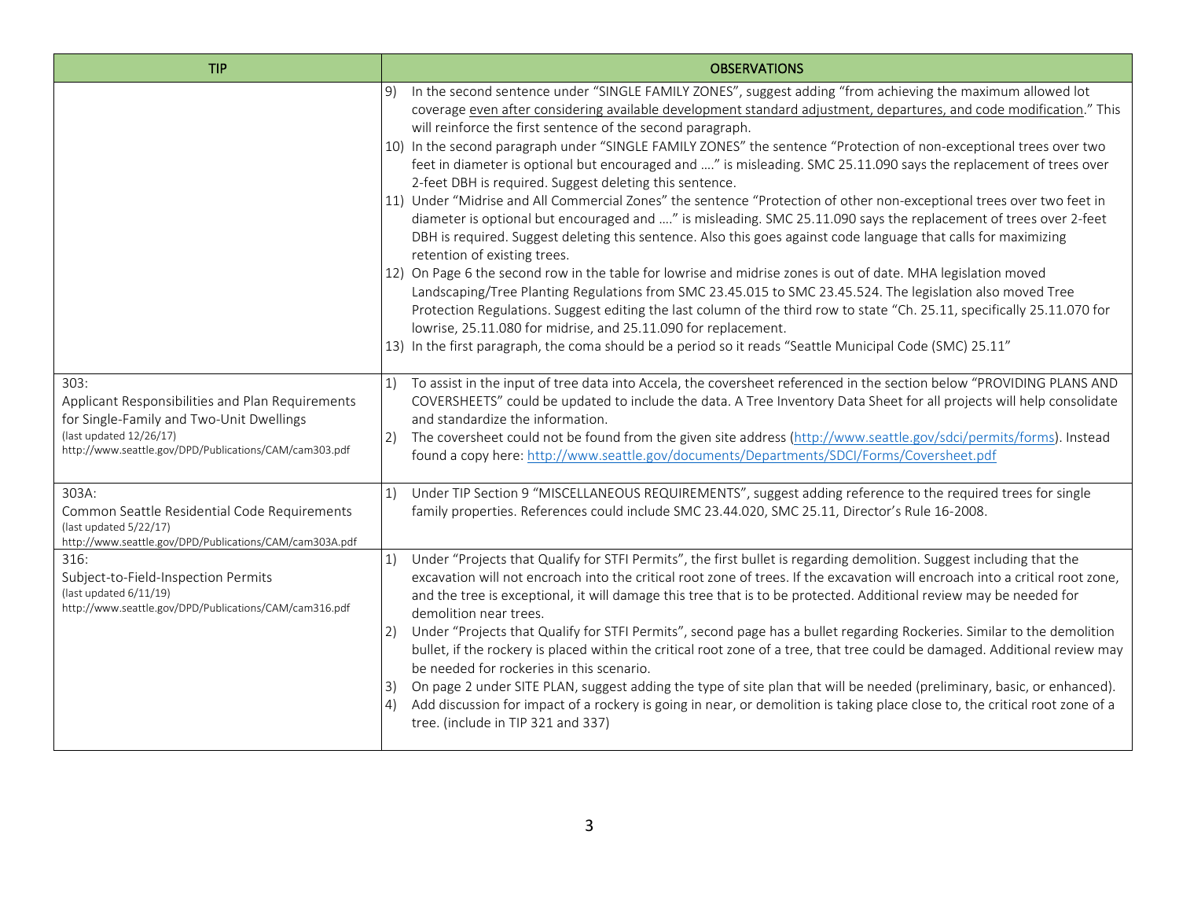| <b>TIP</b>                                                                                                                                                                                | <b>OBSERVATIONS</b>                                                                                                                                                                                                                                                                                                                                                                                                                                                                                                                                                                                                                                                                                                                                                                                                                                                                                                                                                                                                                                                                                                                                                                                                                                                                                                                                                                                                                                                                                                                            |
|-------------------------------------------------------------------------------------------------------------------------------------------------------------------------------------------|------------------------------------------------------------------------------------------------------------------------------------------------------------------------------------------------------------------------------------------------------------------------------------------------------------------------------------------------------------------------------------------------------------------------------------------------------------------------------------------------------------------------------------------------------------------------------------------------------------------------------------------------------------------------------------------------------------------------------------------------------------------------------------------------------------------------------------------------------------------------------------------------------------------------------------------------------------------------------------------------------------------------------------------------------------------------------------------------------------------------------------------------------------------------------------------------------------------------------------------------------------------------------------------------------------------------------------------------------------------------------------------------------------------------------------------------------------------------------------------------------------------------------------------------|
|                                                                                                                                                                                           | In the second sentence under "SINGLE FAMILY ZONES", suggest adding "from achieving the maximum allowed lot<br>coverage even after considering available development standard adjustment, departures, and code modification." This<br>will reinforce the first sentence of the second paragraph.<br>10) In the second paragraph under "SINGLE FAMILY ZONES" the sentence "Protection of non-exceptional trees over two<br>feet in diameter is optional but encouraged and " is misleading. SMC 25.11.090 says the replacement of trees over<br>2-feet DBH is required. Suggest deleting this sentence.<br>11) Under "Midrise and All Commercial Zones" the sentence "Protection of other non-exceptional trees over two feet in<br>diameter is optional but encouraged and " is misleading. SMC 25.11.090 says the replacement of trees over 2-feet<br>DBH is required. Suggest deleting this sentence. Also this goes against code language that calls for maximizing<br>retention of existing trees.<br>12) On Page 6 the second row in the table for lowrise and midrise zones is out of date. MHA legislation moved<br>Landscaping/Tree Planting Regulations from SMC 23.45.015 to SMC 23.45.524. The legislation also moved Tree<br>Protection Regulations. Suggest editing the last column of the third row to state "Ch. 25.11, specifically 25.11.070 for<br>lowrise, 25.11.080 for midrise, and 25.11.090 for replacement.<br>13) In the first paragraph, the coma should be a period so it reads "Seattle Municipal Code (SMC) 25.11" |
| 303:<br>Applicant Responsibilities and Plan Requirements<br>for Single-Family and Two-Unit Dwellings<br>(last updated 12/26/17)<br>http://www.seattle.gov/DPD/Publications/CAM/cam303.pdf | To assist in the input of tree data into Accela, the coversheet referenced in the section below "PROVIDING PLANS AND<br>1)<br>COVERSHEETS" could be updated to include the data. A Tree Inventory Data Sheet for all projects will help consolidate<br>and standardize the information.<br>The coversheet could not be found from the given site address (http://www.seattle.gov/sdci/permits/forms). Instead<br>2)<br>found a copy here: http://www.seattle.gov/documents/Departments/SDCI/Forms/Coversheet.pdf                                                                                                                                                                                                                                                                                                                                                                                                                                                                                                                                                                                                                                                                                                                                                                                                                                                                                                                                                                                                                               |
| 303A:<br>Common Seattle Residential Code Requirements<br>(last updated 5/22/17)<br>http://www.seattle.gov/DPD/Publications/CAM/cam303A.pdf                                                | Under TIP Section 9 "MISCELLANEOUS REQUIREMENTS", suggest adding reference to the required trees for single<br>1)<br>family properties. References could include SMC 23.44.020, SMC 25.11, Director's Rule 16-2008.                                                                                                                                                                                                                                                                                                                                                                                                                                                                                                                                                                                                                                                                                                                                                                                                                                                                                                                                                                                                                                                                                                                                                                                                                                                                                                                            |
| 316:<br>Subject-to-Field-Inspection Permits<br>(last updated 6/11/19)<br>http://www.seattle.gov/DPD/Publications/CAM/cam316.pdf                                                           | Under "Projects that Qualify for STFI Permits", the first bullet is regarding demolition. Suggest including that the<br>excavation will not encroach into the critical root zone of trees. If the excavation will encroach into a critical root zone,<br>and the tree is exceptional, it will damage this tree that is to be protected. Additional review may be needed for<br>demolition near trees.<br>Under "Projects that Qualify for STFI Permits", second page has a bullet regarding Rockeries. Similar to the demolition<br>2)<br>bullet, if the rockery is placed within the critical root zone of a tree, that tree could be damaged. Additional review may<br>be needed for rockeries in this scenario.<br>On page 2 under SITE PLAN, suggest adding the type of site plan that will be needed (preliminary, basic, or enhanced).<br>3)<br>Add discussion for impact of a rockery is going in near, or demolition is taking place close to, the critical root zone of a<br>tree. (include in TIP 321 and 337)                                                                                                                                                                                                                                                                                                                                                                                                                                                                                                                       |